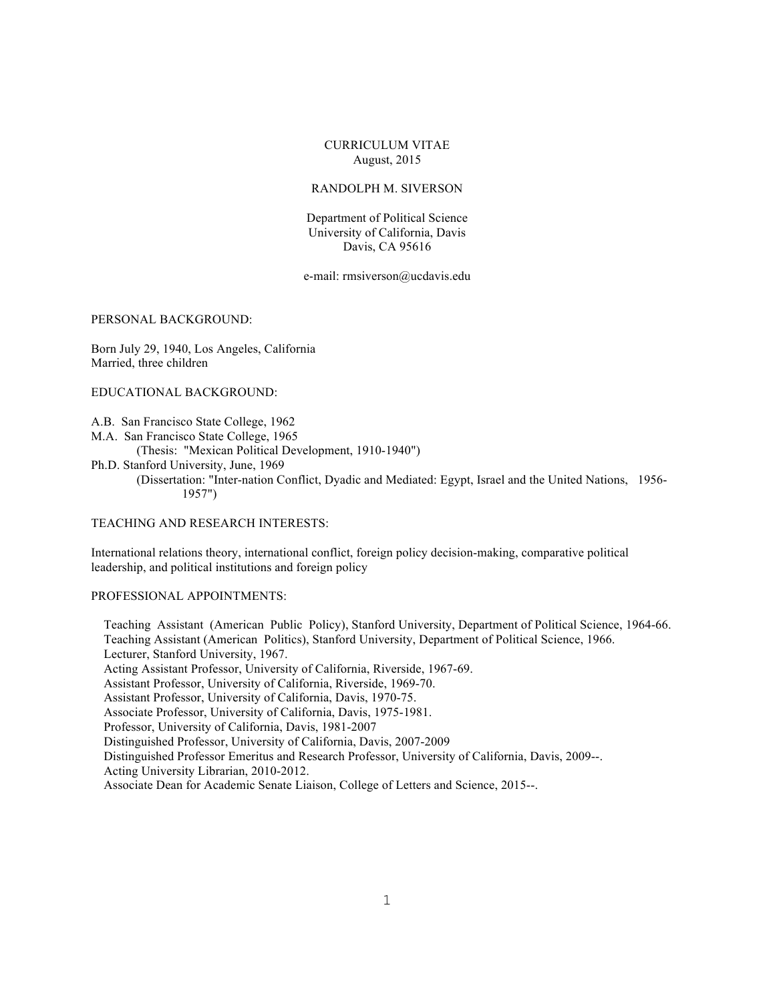## CURRICULUM VITAE August, 2015

## RANDOLPH M. SIVERSON

Department of Political Science University of California, Davis Davis, CA 95616

e-mail: rmsiverson@ucdavis.edu

PERSONAL BACKGROUND:

Born July 29, 1940, Los Angeles, California Married, three children

EDUCATIONAL BACKGROUND:

A.B. San Francisco State College, 1962

M.A. San Francisco State College, 1965

(Thesis: "Mexican Political Development, 1910-1940")

Ph.D. Stanford University, June, 1969

(Dissertation: "Inter-nation Conflict, Dyadic and Mediated: Egypt, Israel and the United Nations, 1956- 1957")

TEACHING AND RESEARCH INTERESTS:

International relations theory, international conflict, foreign policy decision-making, comparative political leadership, and political institutions and foreign policy

#### PROFESSIONAL APPOINTMENTS:

 Teaching Assistant (American Public Policy), Stanford University, Department of Political Science, 1964-66. Teaching Assistant (American Politics), Stanford University, Department of Political Science, 1966. Lecturer, Stanford University, 1967. Acting Assistant Professor, University of California, Riverside, 1967-69. Assistant Professor, University of California, Riverside, 1969-70. Assistant Professor, University of California, Davis, 1970-75. Associate Professor, University of California, Davis, 1975-1981. Professor, University of California, Davis, 1981-2007 Distinguished Professor, University of California, Davis, 2007-2009 Distinguished Professor Emeritus and Research Professor, University of California, Davis, 2009--. Acting University Librarian, 2010-2012. Associate Dean for Academic Senate Liaison, College of Letters and Science, 2015--.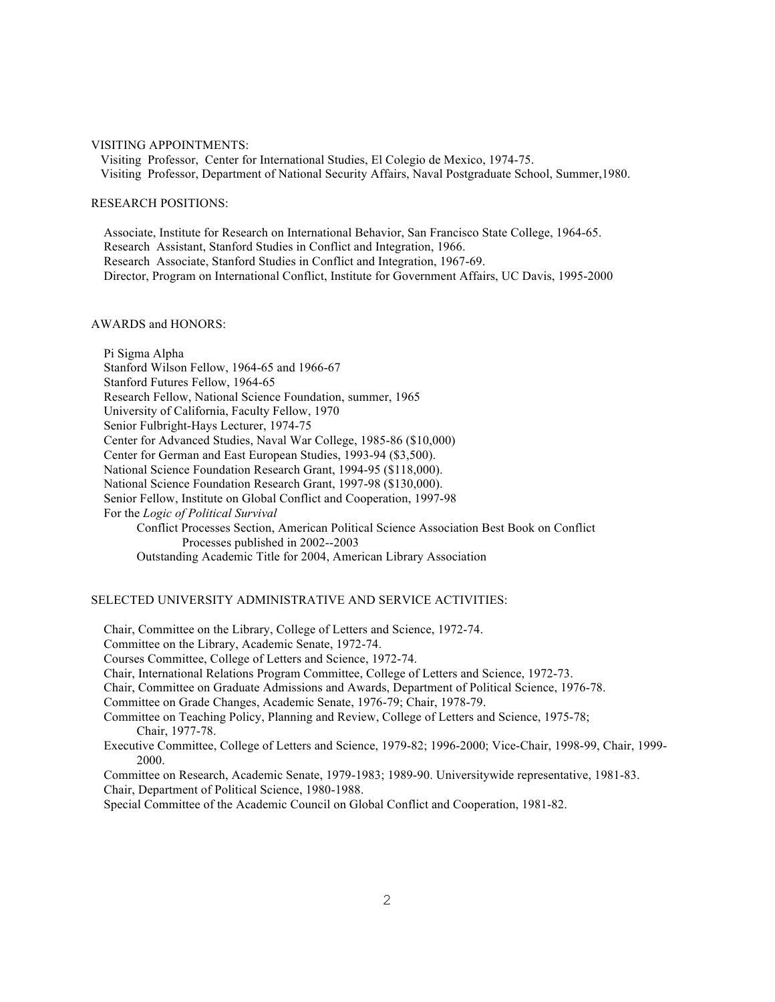### VISITING APPOINTMENTS:

 Visiting Professor, Center for International Studies, El Colegio de Mexico, 1974-75. Visiting Professor, Department of National Security Affairs, Naval Postgraduate School, Summer,1980.

## RESEARCH POSITIONS:

 Associate, Institute for Research on International Behavior, San Francisco State College, 1964-65. Research Assistant, Stanford Studies in Conflict and Integration, 1966. Research Associate, Stanford Studies in Conflict and Integration, 1967-69. Director, Program on International Conflict, Institute for Government Affairs, UC Davis, 1995-2000

### AWARDS and HONORS:

 Pi Sigma Alpha Stanford Wilson Fellow, 1964-65 and 1966-67 Stanford Futures Fellow, 1964-65 Research Fellow, National Science Foundation, summer, 1965 University of California, Faculty Fellow, 1970 Senior Fulbright-Hays Lecturer, 1974-75 Center for Advanced Studies, Naval War College, 1985-86 (\$10,000) Center for German and East European Studies, 1993-94 (\$3,500). National Science Foundation Research Grant, 1994-95 (\$118,000). National Science Foundation Research Grant, 1997-98 (\$130,000). Senior Fellow, Institute on Global Conflict and Cooperation, 1997-98 For the *Logic of Political Survival* Conflict Processes Section, American Political Science Association Best Book on Conflict Processes published in 2002--2003 Outstanding Academic Title for 2004, American Library Association

## SELECTED UNIVERSITY ADMINISTRATIVE AND SERVICE ACTIVITIES:

 Chair, Committee on the Library, College of Letters and Science, 1972-74. Committee on the Library, Academic Senate, 1972-74. Courses Committee, College of Letters and Science, 1972-74. Chair, International Relations Program Committee, College of Letters and Science, 1972-73. Chair, Committee on Graduate Admissions and Awards, Department of Political Science, 1976-78. Committee on Grade Changes, Academic Senate, 1976-79; Chair, 1978-79. Committee on Teaching Policy, Planning and Review, College of Letters and Science, 1975-78; Chair, 1977-78. Executive Committee, College of Letters and Science, 1979-82; 1996-2000; Vice-Chair, 1998-99, Chair, 1999- 2000. Committee on Research, Academic Senate, 1979-1983; 1989-90. Universitywide representative, 1981-83. Chair, Department of Political Science, 1980-1988. Special Committee of the Academic Council on Global Conflict and Cooperation, 1981-82.

2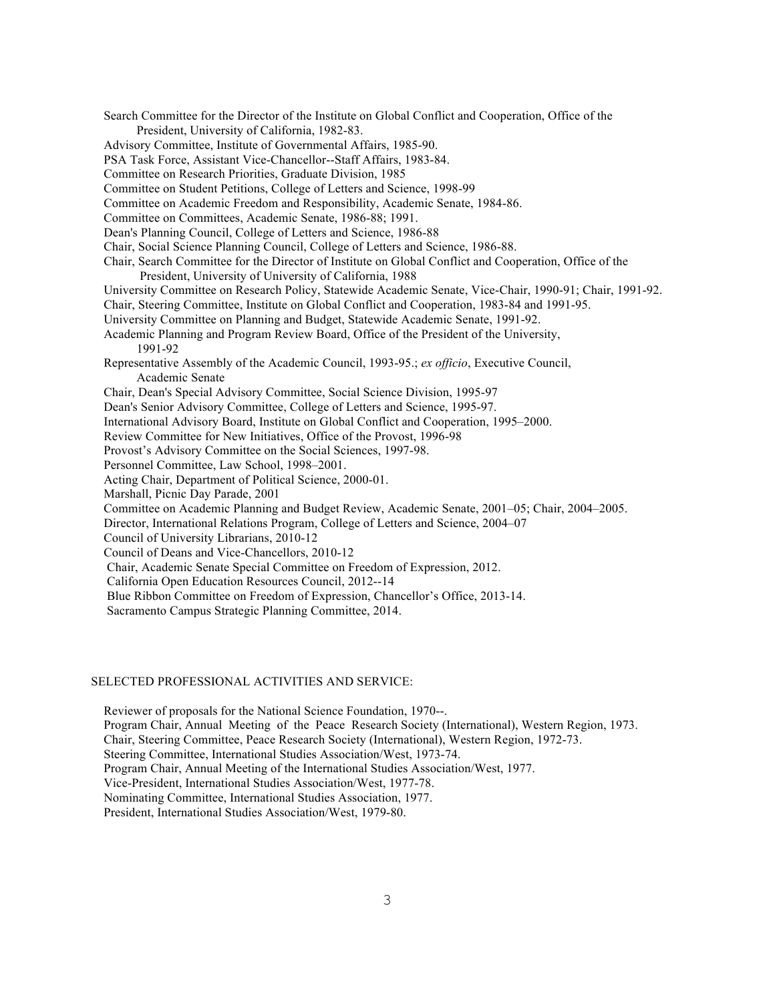Search Committee for the Director of the Institute on Global Conflict and Cooperation, Office of the President, University of California, 1982-83. Advisory Committee, Institute of Governmental Affairs, 1985-90. PSA Task Force, Assistant Vice-Chancellor--Staff Affairs, 1983-84. Committee on Research Priorities, Graduate Division, 1985 Committee on Student Petitions, College of Letters and Science, 1998-99 Committee on Academic Freedom and Responsibility, Academic Senate, 1984-86. Committee on Committees, Academic Senate, 1986-88; 1991. Dean's Planning Council, College of Letters and Science, 1986-88 Chair, Social Science Planning Council, College of Letters and Science, 1986-88. Chair, Search Committee for the Director of Institute on Global Conflict and Cooperation, Office of the President, University of University of California, 1988 University Committee on Research Policy, Statewide Academic Senate, Vice-Chair, 1990-91; Chair, 1991-92. Chair, Steering Committee, Institute on Global Conflict and Cooperation, 1983-84 and 1991-95. University Committee on Planning and Budget, Statewide Academic Senate, 1991-92. Academic Planning and Program Review Board, Office of the President of the University, 1991-92 Representative Assembly of the Academic Council, 1993-95.; *ex officio*, Executive Council, Academic Senate Chair, Dean's Special Advisory Committee, Social Science Division, 1995-97 Dean's Senior Advisory Committee, College of Letters and Science, 1995-97. International Advisory Board, Institute on Global Conflict and Cooperation, 1995–2000. Review Committee for New Initiatives, Office of the Provost, 1996-98 Provost's Advisory Committee on the Social Sciences, 1997-98. Personnel Committee, Law School, 1998–2001. Acting Chair, Department of Political Science, 2000-01. Marshall, Picnic Day Parade, 2001 Committee on Academic Planning and Budget Review, Academic Senate, 2001–05; Chair, 2004–2005. Director, International Relations Program, College of Letters and Science, 2004–07 Council of University Librarians, 2010-12 Council of Deans and Vice-Chancellors, 2010-12 Chair, Academic Senate Special Committee on Freedom of Expression, 2012. California Open Education Resources Council, 2012--14 Blue Ribbon Committee on Freedom of Expression, Chancellor's Office, 2013-14. Sacramento Campus Strategic Planning Committee, 2014.

# SELECTED PROFESSIONAL ACTIVITIES AND SERVICE:

 Reviewer of proposals for the National Science Foundation, 1970--. Program Chair, Annual Meeting of the Peace Research Society (International), Western Region, 1973. Chair, Steering Committee, Peace Research Society (International), Western Region, 1972-73. Steering Committee, International Studies Association/West, 1973-74. Program Chair, Annual Meeting of the International Studies Association/West, 1977. Vice-President, International Studies Association/West, 1977-78. Nominating Committee, International Studies Association, 1977. President, International Studies Association/West, 1979-80.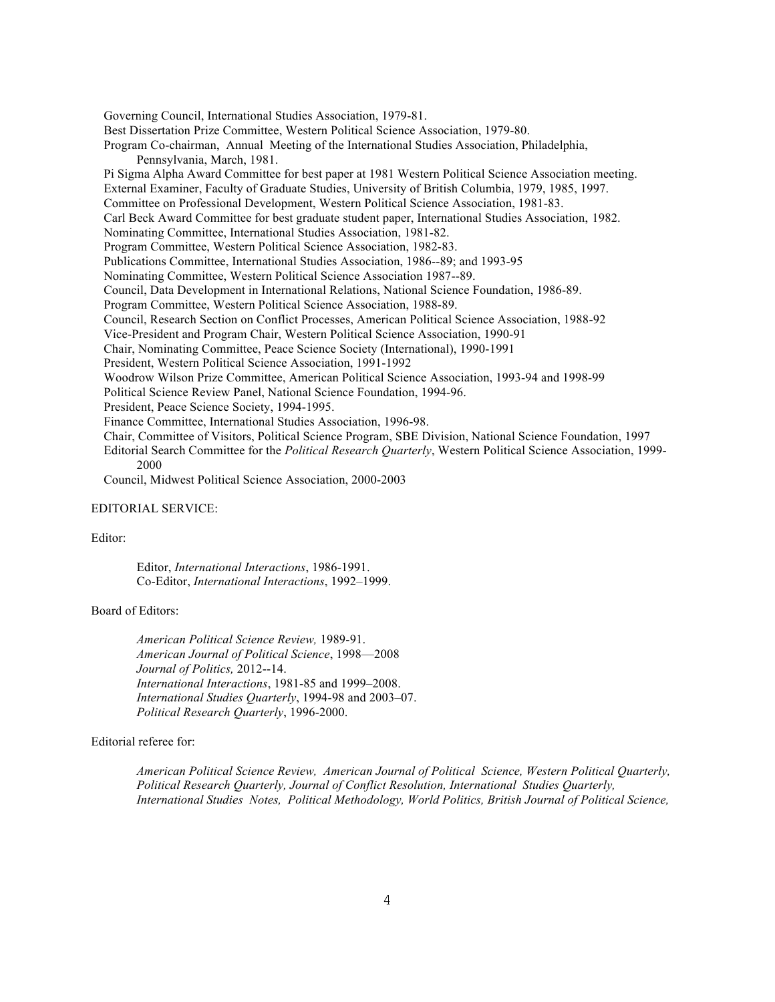Governing Council, International Studies Association, 1979-81. Best Dissertation Prize Committee, Western Political Science Association, 1979-80. Program Co-chairman, Annual Meeting of the International Studies Association, Philadelphia, Pennsylvania, March, 1981. Pi Sigma Alpha Award Committee for best paper at 1981 Western Political Science Association meeting. External Examiner, Faculty of Graduate Studies, University of British Columbia, 1979, 1985, 1997. Committee on Professional Development, Western Political Science Association, 1981-83. Carl Beck Award Committee for best graduate student paper, International Studies Association, 1982. Nominating Committee, International Studies Association, 1981-82. Program Committee, Western Political Science Association, 1982-83. Publications Committee, International Studies Association, 1986--89; and 1993-95 Nominating Committee, Western Political Science Association 1987--89. Council, Data Development in International Relations, National Science Foundation, 1986-89. Program Committee, Western Political Science Association, 1988-89. Council, Research Section on Conflict Processes, American Political Science Association, 1988-92 Vice-President and Program Chair, Western Political Science Association, 1990-91 Chair, Nominating Committee, Peace Science Society (International), 1990-1991 President, Western Political Science Association, 1991-1992 Woodrow Wilson Prize Committee, American Political Science Association, 1993-94 and 1998-99 Political Science Review Panel, National Science Foundation, 1994-96. President, Peace Science Society, 1994-1995. Finance Committee, International Studies Association, 1996-98. Chair, Committee of Visitors, Political Science Program, SBE Division, National Science Foundation, 1997 Editorial Search Committee for the *Political Research Quarterly*, Western Political Science Association, 1999- 2000

Council, Midwest Political Science Association, 2000-2003

## EDITORIAL SERVICE:

#### Editor:

 Editor, *International Interactions*, 1986-1991. Co-Editor, *International Interactions*, 1992–1999.

### Board of Editors:

*American Political Science Review,* 1989-91. *American Journal of Political Science*, 1998—2008 *Journal of Politics,* 2012--14. *International Interactions*, 1981-85 and 1999–2008. *International Studies Quarterly*, 1994-98 and 2003–07. *Political Research Quarterly*, 1996-2000.

## Editorial referee for:

*American Political Science Review, American Journal of Political Science, Western Political Quarterly, Political Research Quarterly, Journal of Conflict Resolution, International Studies Quarterly, International Studies Notes, Political Methodology, World Politics, British Journal of Political Science,*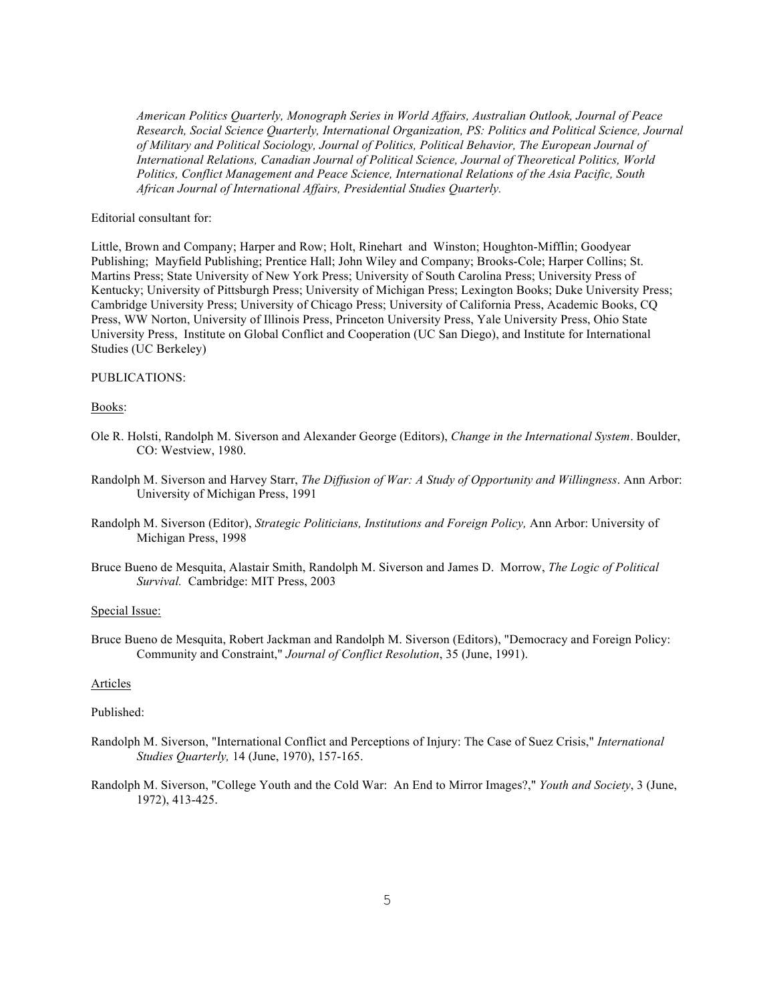*American Politics Quarterly, Monograph Series in World Affairs, Australian Outlook, Journal of Peace Research, Social Science Quarterly, International Organization, PS: Politics and Political Science, Journal of Military and Political Sociology, Journal of Politics, Political Behavior, The European Journal of International Relations, Canadian Journal of Political Science, Journal of Theoretical Politics, World Politics, Conflict Management and Peace Science, International Relations of the Asia Pacific, South African Journal of International Affairs, Presidential Studies Quarterly.*

### Editorial consultant for:

Little, Brown and Company; Harper and Row; Holt, Rinehart and Winston; Houghton-Mifflin; Goodyear Publishing; Mayfield Publishing; Prentice Hall; John Wiley and Company; Brooks-Cole; Harper Collins; St. Martins Press; State University of New York Press; University of South Carolina Press; University Press of Kentucky; University of Pittsburgh Press; University of Michigan Press; Lexington Books; Duke University Press; Cambridge University Press; University of Chicago Press; University of California Press, Academic Books, CQ Press, WW Norton, University of Illinois Press, Princeton University Press, Yale University Press, Ohio State University Press, Institute on Global Conflict and Cooperation (UC San Diego), and Institute for International Studies (UC Berkeley)

### PUBLICATIONS:

#### Books:

- Ole R. Holsti, Randolph M. Siverson and Alexander George (Editors), *Change in the International System*. Boulder, CO: Westview, 1980.
- Randolph M. Siverson and Harvey Starr, *The Diffusion of War: A Study of Opportunity and Willingness*. Ann Arbor: University of Michigan Press, 1991
- Randolph M. Siverson (Editor), *Strategic Politicians, Institutions and Foreign Policy,* Ann Arbor: University of Michigan Press, 1998
- Bruce Bueno de Mesquita, Alastair Smith, Randolph M. Siverson and James D. Morrow, *The Logic of Political Survival.* Cambridge: MIT Press, 2003

### Special Issue:

Bruce Bueno de Mesquita, Robert Jackman and Randolph M. Siverson (Editors), "Democracy and Foreign Policy: Community and Constraint," *Journal of Conflict Resolution*, 35 (June, 1991).

#### Articles

#### Published:

- Randolph M. Siverson, "International Conflict and Perceptions of Injury: The Case of Suez Crisis," *International Studies Quarterly,* 14 (June, 1970), 157-165.
- Randolph M. Siverson, "College Youth and the Cold War: An End to Mirror Images?," *Youth and Society*, 3 (June, 1972), 413-425.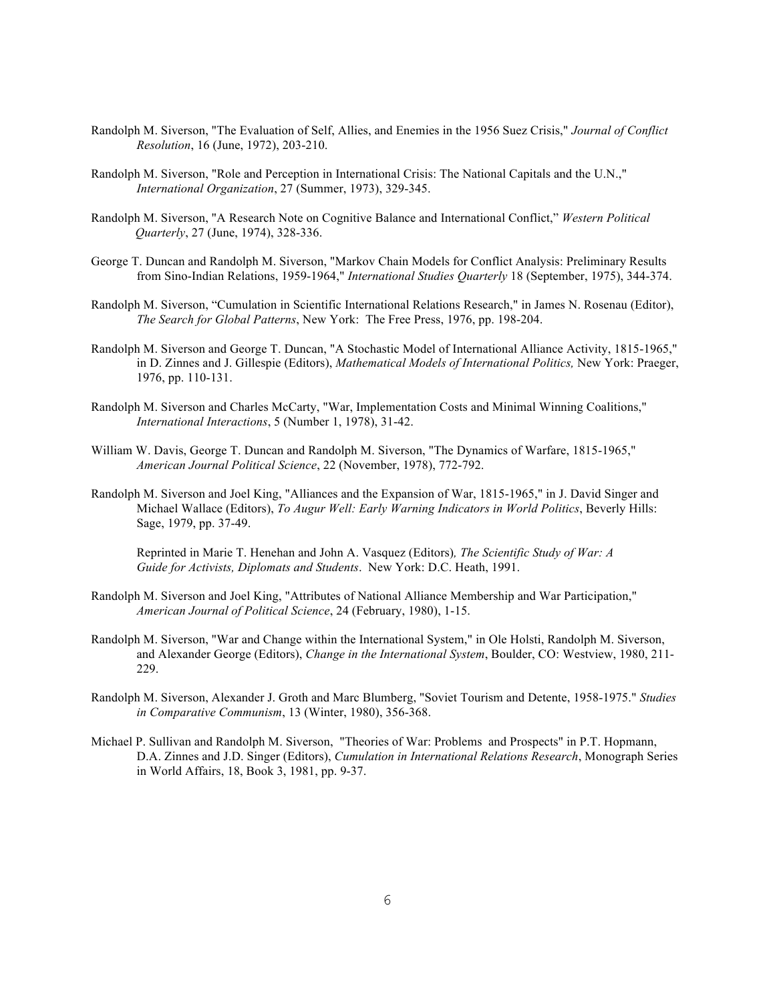- Randolph M. Siverson, "The Evaluation of Self, Allies, and Enemies in the 1956 Suez Crisis," *Journal of Conflict Resolution*, 16 (June, 1972), 203-210.
- Randolph M. Siverson, "Role and Perception in International Crisis: The National Capitals and the U.N.," *International Organization*, 27 (Summer, 1973), 329-345.
- Randolph M. Siverson, "A Research Note on Cognitive Balance and International Conflict," *Western Political Quarterly*, 27 (June, 1974), 328-336.
- George T. Duncan and Randolph M. Siverson, "Markov Chain Models for Conflict Analysis: Preliminary Results from Sino-Indian Relations, 1959-1964," *International Studies Quarterly* 18 (September, 1975), 344-374.
- Randolph M. Siverson, "Cumulation in Scientific International Relations Research," in James N. Rosenau (Editor), *The Search for Global Patterns*, New York: The Free Press, 1976, pp. 198-204.
- Randolph M. Siverson and George T. Duncan, "A Stochastic Model of International Alliance Activity, 1815-1965," in D. Zinnes and J. Gillespie (Editors), *Mathematical Models of International Politics,* New York: Praeger, 1976, pp. 110-131.
- Randolph M. Siverson and Charles McCarty, "War, Implementation Costs and Minimal Winning Coalitions," *International Interactions*, 5 (Number 1, 1978), 31-42.
- William W. Davis, George T. Duncan and Randolph M. Siverson, "The Dynamics of Warfare, 1815-1965," *American Journal Political Science*, 22 (November, 1978), 772-792.
- Randolph M. Siverson and Joel King, "Alliances and the Expansion of War, 1815-1965," in J. David Singer and Michael Wallace (Editors), *To Augur Well: Early Warning Indicators in World Politics*, Beverly Hills: Sage, 1979, pp. 37-49.

Reprinted in Marie T. Henehan and John A. Vasquez (Editors)*, The Scientific Study of War: A Guide for Activists, Diplomats and Students*. New York: D.C. Heath, 1991.

- Randolph M. Siverson and Joel King, "Attributes of National Alliance Membership and War Participation," *American Journal of Political Science*, 24 (February, 1980), 1-15.
- Randolph M. Siverson, "War and Change within the International System," in Ole Holsti, Randolph M. Siverson, and Alexander George (Editors), *Change in the International System*, Boulder, CO: Westview, 1980, 211- 229.
- Randolph M. Siverson, Alexander J. Groth and Marc Blumberg, "Soviet Tourism and Detente, 1958-1975." *Studies in Comparative Communism*, 13 (Winter, 1980), 356-368.
- Michael P. Sullivan and Randolph M. Siverson, "Theories of War: Problems and Prospects" in P.T. Hopmann, D.A. Zinnes and J.D. Singer (Editors), *Cumulation in International Relations Research*, Monograph Series in World Affairs, 18, Book 3, 1981, pp. 9-37.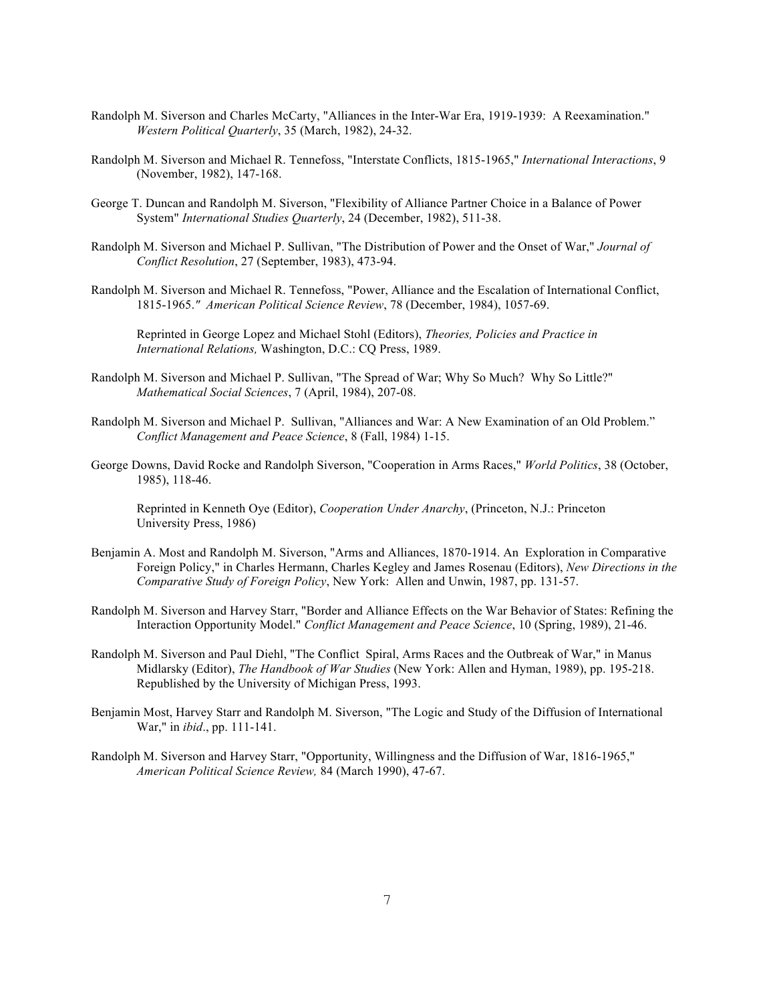- Randolph M. Siverson and Charles McCarty, "Alliances in the Inter-War Era, 1919-1939: A Reexamination." *Western Political Quarterly*, 35 (March, 1982), 24-32.
- Randolph M. Siverson and Michael R. Tennefoss, "Interstate Conflicts, 1815-1965," *International Interactions*, 9 (November, 1982), 147-168.
- George T. Duncan and Randolph M. Siverson, "Flexibility of Alliance Partner Choice in a Balance of Power System" *International Studies Quarterly*, 24 (December, 1982), 511-38.
- Randolph M. Siverson and Michael P. Sullivan, "The Distribution of Power and the Onset of War," *Journal of Conflict Resolution*, 27 (September, 1983), 473-94.
- Randolph M. Siverson and Michael R. Tennefoss, "Power, Alliance and the Escalation of International Conflict, 1815-1965.*" American Political Science Review*, 78 (December, 1984), 1057-69.

Reprinted in George Lopez and Michael Stohl (Editors), *Theories, Policies and Practice in International Relations,* Washington, D.C.: CQ Press, 1989.

- Randolph M. Siverson and Michael P. Sullivan, "The Spread of War; Why So Much? Why So Little?" *Mathematical Social Sciences*, 7 (April, 1984), 207-08.
- Randolph M. Siverson and Michael P. Sullivan, "Alliances and War: A New Examination of an Old Problem." *Conflict Management and Peace Science*, 8 (Fall, 1984) 1-15.
- George Downs, David Rocke and Randolph Siverson, "Cooperation in Arms Races," *World Politics*, 38 (October, 1985), 118-46.

Reprinted in Kenneth Oye (Editor), *Cooperation Under Anarchy*, (Princeton, N.J.: Princeton University Press, 1986)

- Benjamin A. Most and Randolph M. Siverson, "Arms and Alliances, 1870-1914. An Exploration in Comparative Foreign Policy," in Charles Hermann, Charles Kegley and James Rosenau (Editors), *New Directions in the Comparative Study of Foreign Policy*, New York: Allen and Unwin, 1987, pp. 131-57.
- Randolph M. Siverson and Harvey Starr, "Border and Alliance Effects on the War Behavior of States: Refining the Interaction Opportunity Model." *Conflict Management and Peace Science*, 10 (Spring, 1989), 21-46.
- Randolph M. Siverson and Paul Diehl, "The Conflict Spiral, Arms Races and the Outbreak of War," in Manus Midlarsky (Editor), *The Handbook of War Studies* (New York: Allen and Hyman, 1989), pp. 195-218. Republished by the University of Michigan Press, 1993.
- Benjamin Most, Harvey Starr and Randolph M. Siverson, "The Logic and Study of the Diffusion of International War," in *ibid*., pp. 111-141.
- Randolph M. Siverson and Harvey Starr, "Opportunity, Willingness and the Diffusion of War, 1816-1965," *American Political Science Review,* 84 (March 1990), 47-67.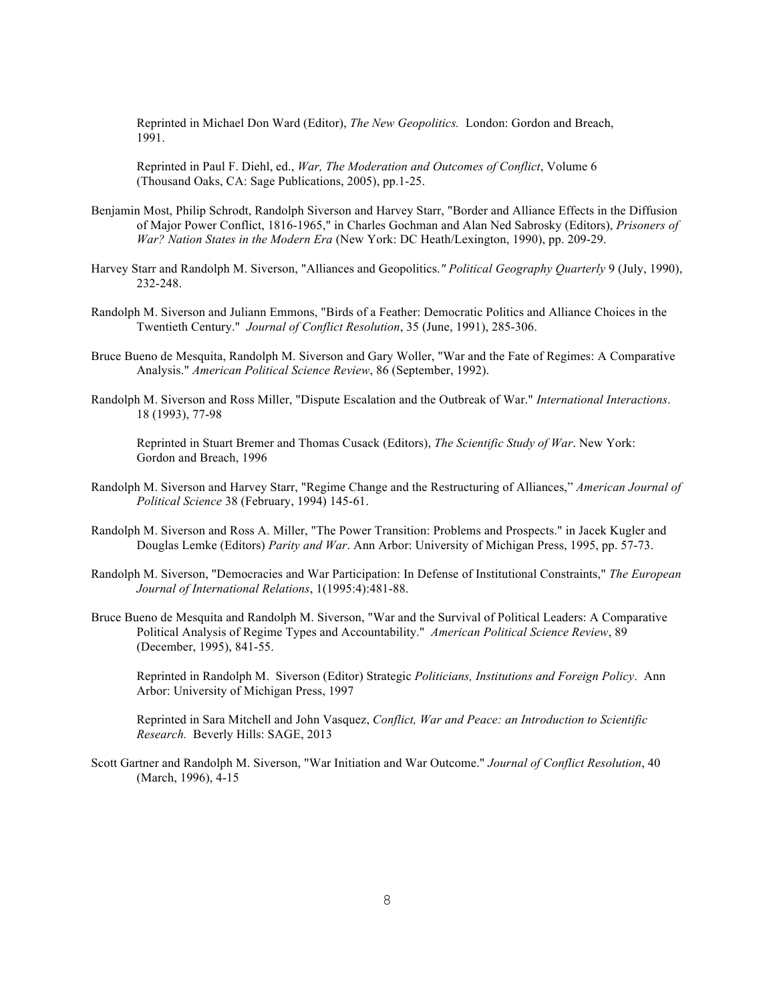Reprinted in Michael Don Ward (Editor), *The New Geopolitics.* London: Gordon and Breach, 1991.

Reprinted in Paul F. Diehl, ed., *War, The Moderation and Outcomes of Conflict*, Volume 6 (Thousand Oaks, CA: Sage Publications, 2005), pp.1-25.

- Benjamin Most, Philip Schrodt, Randolph Siverson and Harvey Starr, "Border and Alliance Effects in the Diffusion of Major Power Conflict, 1816-1965," in Charles Gochman and Alan Ned Sabrosky (Editors), *Prisoners of War? Nation States in the Modern Era* (New York: DC Heath/Lexington, 1990), pp. 209-29.
- Harvey Starr and Randolph M. Siverson, "Alliances and Geopolitics.*" Political Geography Quarterly* 9 (July, 1990), 232-248.
- Randolph M. Siverson and Juliann Emmons, "Birds of a Feather: Democratic Politics and Alliance Choices in the Twentieth Century." *Journal of Conflict Resolution*, 35 (June, 1991), 285-306.
- Bruce Bueno de Mesquita, Randolph M. Siverson and Gary Woller, "War and the Fate of Regimes: A Comparative Analysis." *American Political Science Review*, 86 (September, 1992).
- Randolph M. Siverson and Ross Miller, "Dispute Escalation and the Outbreak of War." *International Interactions*. 18 (1993), 77-98

Reprinted in Stuart Bremer and Thomas Cusack (Editors), *The Scientific Study of War*. New York: Gordon and Breach, 1996

- Randolph M. Siverson and Harvey Starr, "Regime Change and the Restructuring of Alliances," *American Journal of Political Science* 38 (February, 1994) 145-61.
- Randolph M. Siverson and Ross A. Miller, "The Power Transition: Problems and Prospects." in Jacek Kugler and Douglas Lemke (Editors) *Parity and War*. Ann Arbor: University of Michigan Press, 1995, pp. 57-73.
- Randolph M. Siverson, "Democracies and War Participation: In Defense of Institutional Constraints," *The European Journal of International Relations*, 1(1995:4):481-88.
- Bruce Bueno de Mesquita and Randolph M. Siverson, "War and the Survival of Political Leaders: A Comparative Political Analysis of Regime Types and Accountability." *American Political Science Review*, 89 (December, 1995), 841-55.

Reprinted in Randolph M. Siverson (Editor) Strategic *Politicians, Institutions and Foreign Policy*. Ann Arbor: University of Michigan Press, 1997

Reprinted in Sara Mitchell and John Vasquez, *Conflict, War and Peace: an Introduction to Scientific Research.* Beverly Hills: SAGE, 2013

Scott Gartner and Randolph M. Siverson, "War Initiation and War Outcome." *Journal of Conflict Resolution*, 40 (March, 1996), 4-15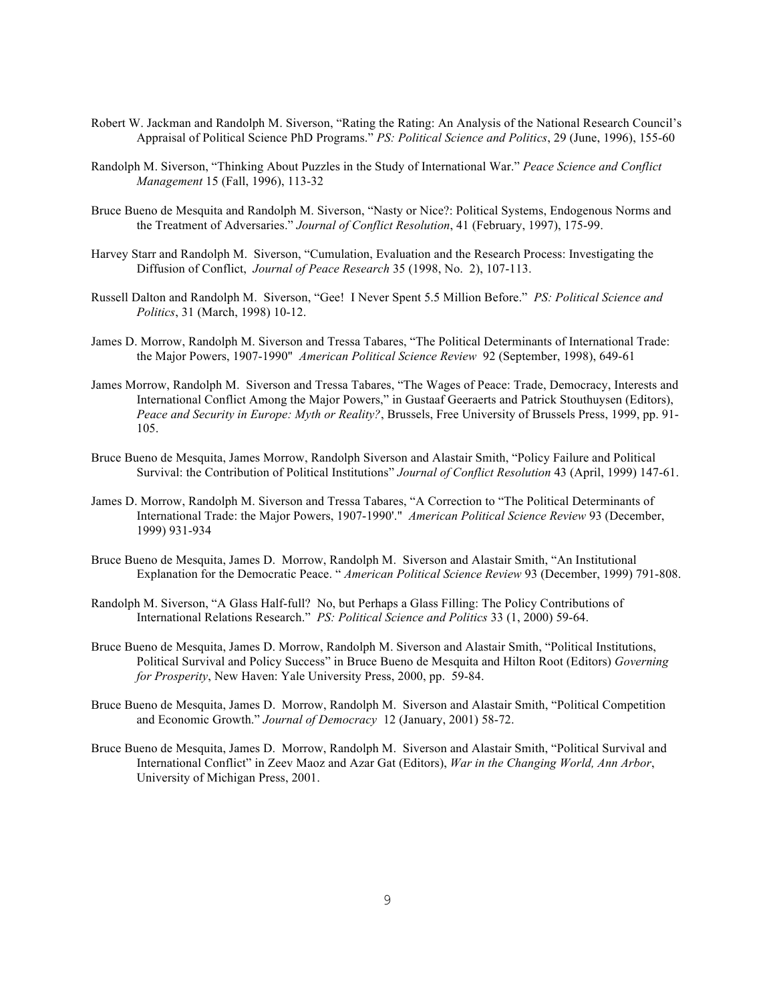- Robert W. Jackman and Randolph M. Siverson, "Rating the Rating: An Analysis of the National Research Council's Appraisal of Political Science PhD Programs." *PS: Political Science and Politics*, 29 (June, 1996), 155-60
- Randolph M. Siverson, "Thinking About Puzzles in the Study of International War." *Peace Science and Conflict Management* 15 (Fall, 1996), 113-32
- Bruce Bueno de Mesquita and Randolph M. Siverson, "Nasty or Nice?: Political Systems, Endogenous Norms and the Treatment of Adversaries." *Journal of Conflict Resolution*, 41 (February, 1997), 175-99.
- Harvey Starr and Randolph M. Siverson, "Cumulation, Evaluation and the Research Process: Investigating the Diffusion of Conflict, *Journal of Peace Research* 35 (1998, No. 2), 107-113.
- Russell Dalton and Randolph M. Siverson, "Gee! I Never Spent 5.5 Million Before." *PS: Political Science and Politics*, 31 (March, 1998) 10-12.
- James D. Morrow, Randolph M. Siverson and Tressa Tabares, "The Political Determinants of International Trade: the Major Powers, 1907-1990" *American Political Science Review* 92 (September, 1998), 649-61
- James Morrow, Randolph M. Siverson and Tressa Tabares, "The Wages of Peace: Trade, Democracy, Interests and International Conflict Among the Major Powers," in Gustaaf Geeraerts and Patrick Stouthuysen (Editors), *Peace and Security in Europe: Myth or Reality?*, Brussels, Free University of Brussels Press, 1999, pp. 91- 105.
- Bruce Bueno de Mesquita, James Morrow, Randolph Siverson and Alastair Smith, "Policy Failure and Political Survival: the Contribution of Political Institutions" *Journal of Conflict Resolution* 43 (April, 1999) 147-61.
- James D. Morrow, Randolph M. Siverson and Tressa Tabares, "A Correction to "The Political Determinants of International Trade: the Major Powers, 1907-1990'." *American Political Science Review* 93 (December, 1999) 931-934
- Bruce Bueno de Mesquita, James D. Morrow, Randolph M. Siverson and Alastair Smith, "An Institutional Explanation for the Democratic Peace. " *American Political Science Review* 93 (December, 1999) 791-808.
- Randolph M. Siverson, "A Glass Half-full? No, but Perhaps a Glass Filling: The Policy Contributions of International Relations Research." *PS: Political Science and Politics* 33 (1, 2000) 59-64.
- Bruce Bueno de Mesquita, James D. Morrow, Randolph M. Siverson and Alastair Smith, "Political Institutions, Political Survival and Policy Success" in Bruce Bueno de Mesquita and Hilton Root (Editors) *Governing for Prosperity*, New Haven: Yale University Press, 2000, pp. 59-84.
- Bruce Bueno de Mesquita, James D. Morrow, Randolph M. Siverson and Alastair Smith, "Political Competition and Economic Growth." *Journal of Democracy* 12 (January, 2001) 58-72.
- Bruce Bueno de Mesquita, James D. Morrow, Randolph M. Siverson and Alastair Smith, "Political Survival and International Conflict" in Zeev Maoz and Azar Gat (Editors), *War in the Changing World, Ann Arbor*, University of Michigan Press, 2001.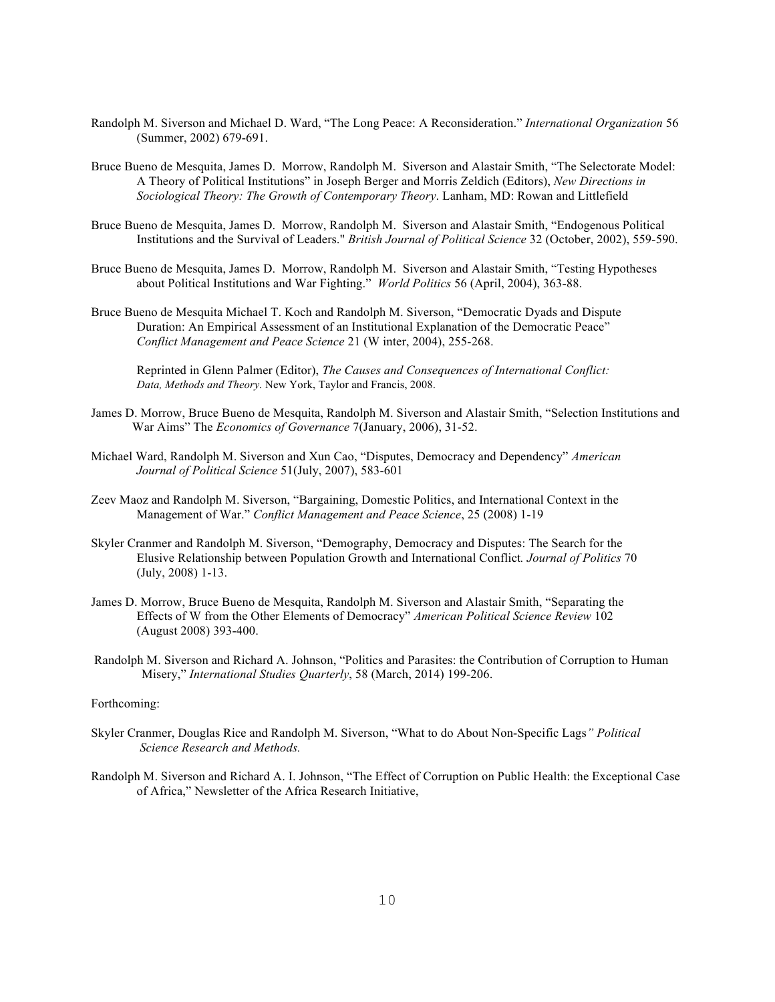- Randolph M. Siverson and Michael D. Ward, "The Long Peace: A Reconsideration." *International Organization* 56 (Summer, 2002) 679-691.
- Bruce Bueno de Mesquita, James D. Morrow, Randolph M. Siverson and Alastair Smith, "The Selectorate Model: A Theory of Political Institutions" in Joseph Berger and Morris Zeldich (Editors), *New Directions in Sociological Theory: The Growth of Contemporary Theory*. Lanham, MD: Rowan and Littlefield
- Bruce Bueno de Mesquita, James D. Morrow, Randolph M. Siverson and Alastair Smith, "Endogenous Political Institutions and the Survival of Leaders." *British Journal of Political Science* 32 (October, 2002), 559-590.
- Bruce Bueno de Mesquita, James D. Morrow, Randolph M. Siverson and Alastair Smith, "Testing Hypotheses about Political Institutions and War Fighting." *World Politics* 56 (April, 2004), 363-88.
- Bruce Bueno de Mesquita Michael T. Koch and Randolph M. Siverson, "Democratic Dyads and Dispute Duration: An Empirical Assessment of an Institutional Explanation of the Democratic Peace" *Conflict Management and Peace Science* 21 (W inter, 2004), 255-268.

Reprinted in Glenn Palmer (Editor), *The Causes and Consequences of International Conflict: Data, Methods and Theory*. New York, Taylor and Francis, 2008.

- James D. Morrow, Bruce Bueno de Mesquita, Randolph M. Siverson and Alastair Smith, "Selection Institutions and War Aims" The *Economics of Governance* 7(January, 2006), 31-52.
- Michael Ward, Randolph M. Siverson and Xun Cao, "Disputes, Democracy and Dependency" *American Journal of Political Science* 51(July, 2007), 583-601
- Zeev Maoz and Randolph M. Siverson, "Bargaining, Domestic Politics, and International Context in the Management of War." *Conflict Management and Peace Science*, 25 (2008) 1-19
- Skyler Cranmer and Randolph M. Siverson, "Demography, Democracy and Disputes: The Search for the Elusive Relationship between Population Growth and International Conflict*. Journal of Politics* 70 (July, 2008) 1-13.
- James D. Morrow, Bruce Bueno de Mesquita, Randolph M. Siverson and Alastair Smith, "Separating the Effects of W from the Other Elements of Democracy" *American Political Science Review* 102 (August 2008) 393-400.
- Randolph M. Siverson and Richard A. Johnson, "Politics and Parasites: the Contribution of Corruption to Human Misery," *International Studies Quarterly*, 58 (March, 2014) 199-206.

### Forthcoming:

- Skyler Cranmer, Douglas Rice and Randolph M. Siverson, "What to do About Non-Specific Lags*" Political Science Research and Methods.*
- Randolph M. Siverson and Richard A. I. Johnson, "The Effect of Corruption on Public Health: the Exceptional Case of Africa," Newsletter of the Africa Research Initiative,